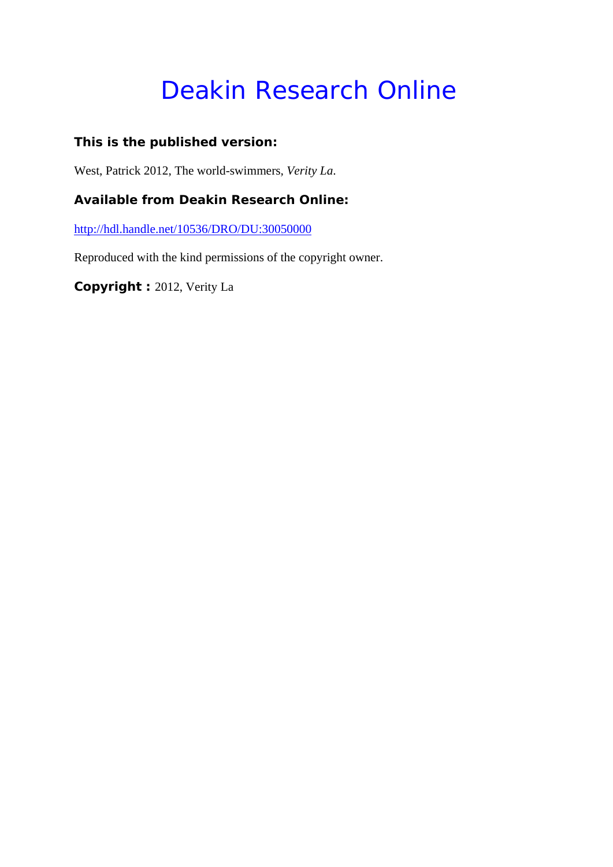# Deakin Research Online

### **This is the published version:**

West, Patrick 2012, The world-swimmers*, Verity La*.

#### **Available from Deakin Research Online:**

http://hdl.handle.net/10536/DRO/DU:30050000

Reproduced with the kind permissions of the copyright owner.

**Copyright :** 2012, Verity La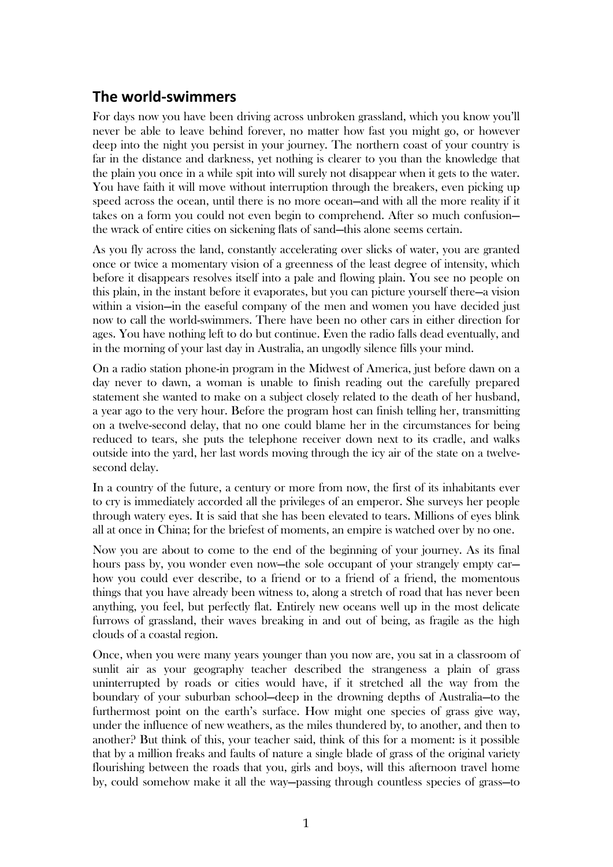## **The world‐swimmers**

For days now you have been driving across unbroken grassland, which you know you'll never be able to leave behind forever, no matter how fast you might go, or however deep into the night you persist in your journey. The northern coast of your country is far in the distance and darkness, yet nothing is clearer to you than the knowledge that the plain you once in a while spit into will surely not disappear when it gets to the water. You have faith it will move without interruption through the breakers, even picking up speed across the ocean, until there is no more ocean—and with all the more reality if it takes on a form you could not even begin to comprehend. After so much confusion the wrack of entire cities on sickening flats of sand—this alone seems certain.

As you fly across the land, constantly accelerating over slicks of water, you are granted once or twice a momentary vision of a greenness of the least degree of intensity, which before it disappears resolves itself into a pale and flowing plain. You see no people on this plain, in the instant before it evaporates, but you can picture yourself there—a vision within a vision—in the easeful company of the men and women you have decided just now to call the world-swimmers. There have been no other cars in either direction for ages. You have nothing left to do but continue. Even the radio falls dead eventually, and in the morning of your last day in Australia, an ungodly silence fills your mind.

On a radio station phone-in program in the Midwest of America, just before dawn on a day never to dawn, a woman is unable to finish reading out the carefully prepared statement she wanted to make on a subject closely related to the death of her husband, a year ago to the very hour. Before the program host can finish telling her, transmitting on a twelve-second delay, that no one could blame her in the circumstances for being reduced to tears, she puts the telephone receiver down next to its cradle, and walks outside into the yard, her last words moving through the icy air of the state on a twelvesecond delay.

In a country of the future, a century or more from now, the first of its inhabitants ever to cry is immediately accorded all the privileges of an emperor. She surveys her people through watery eyes. It is said that she has been elevated to tears. Millions of eyes blink all at once in China; for the briefest of moments, an empire is watched over by no one.

Now you are about to come to the end of the beginning of your journey. As its final hours pass by, you wonder even now—the sole occupant of your strangely empty car how you could ever describe, to a friend or to a friend of a friend, the momentous things that you have already been witness to, along a stretch of road that has never been anything, you feel, but perfectly flat. Entirely new oceans well up in the most delicate furrows of grassland, their waves breaking in and out of being, as fragile as the high clouds of a coastal region.

Once, when you were many years younger than you now are, you sat in a classroom of sunlit air as your geography teacher described the strangeness a plain of grass uninterrupted by roads or cities would have, if it stretched all the way from the boundary of your suburban school—deep in the drowning depths of Australia—to the furthermost point on the earth's surface. How might one species of grass give way, under the influence of new weathers, as the miles thundered by, to another, and then to another? But think of this, your teacher said, think of this for a moment: is it possible that by a million freaks and faults of nature a single blade of grass of the original variety flourishing between the roads that you, girls and boys, will this afternoon travel home by, could somehow make it all the way—passing through countless species of grass—to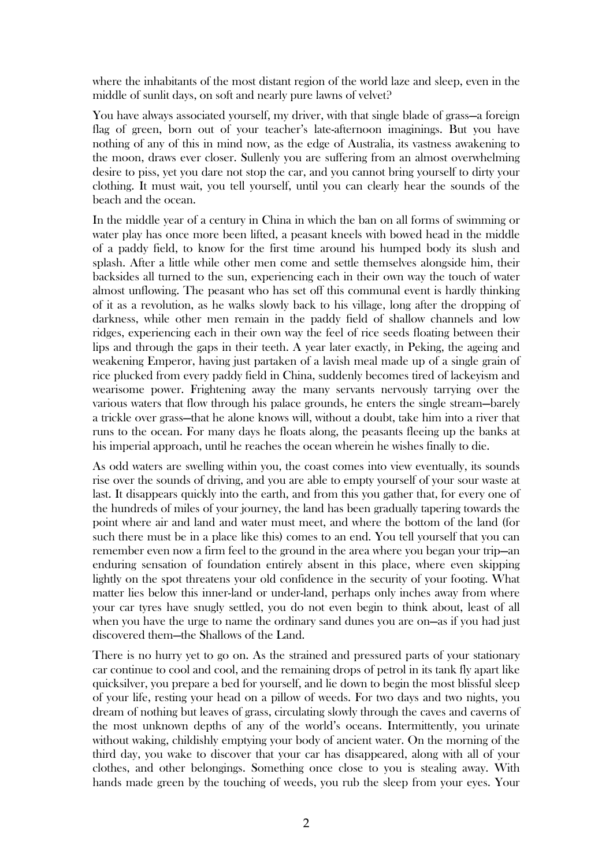where the inhabitants of the most distant region of the world laze and sleep, even in the middle of sunlit days, on soft and nearly pure lawns of velvet?

You have always associated yourself, my driver, with that single blade of grass—a foreign flag of green, born out of your teacher's late-afternoon imaginings. But you have nothing of any of this in mind now, as the edge of Australia, its vastness awakening to the moon, draws ever closer. Sullenly you are suffering from an almost overwhelming desire to piss, yet you dare not stop the car, and you cannot bring yourself to dirty your clothing. It must wait, you tell yourself, until you can clearly hear the sounds of the beach and the ocean.

In the middle year of a century in China in which the ban on all forms of swimming or water play has once more been lifted, a peasant kneels with bowed head in the middle of a paddy field, to know for the first time around his humped body its slush and splash. After a little while other men come and settle themselves alongside him, their backsides all turned to the sun, experiencing each in their own way the touch of water almost unflowing. The peasant who has set off this communal event is hardly thinking of it as a revolution, as he walks slowly back to his village, long after the dropping of darkness, while other men remain in the paddy field of shallow channels and low ridges, experiencing each in their own way the feel of rice seeds floating between their lips and through the gaps in their teeth. A year later exactly, in Peking, the ageing and weakening Emperor, having just partaken of a lavish meal made up of a single grain of rice plucked from every paddy field in China, suddenly becomes tired of lackeyism and wearisome power. Frightening away the many servants nervously tarrying over the various waters that flow through his palace grounds, he enters the single stream—barely a trickle over grass—that he alone knows will, without a doubt, take him into a river that runs to the ocean. For many days he floats along, the peasants fleeing up the banks at his imperial approach, until he reaches the ocean wherein he wishes finally to die.

As odd waters are swelling within you, the coast comes into view eventually, its sounds rise over the sounds of driving, and you are able to empty yourself of your sour waste at last. It disappears quickly into the earth, and from this you gather that, for every one of the hundreds of miles of your journey, the land has been gradually tapering towards the point where air and land and water must meet, and where the bottom of the land (for such there must be in a place like this) comes to an end. You tell yourself that you can remember even now a firm feel to the ground in the area where you began your trip—an enduring sensation of foundation entirely absent in this place, where even skipping lightly on the spot threatens your old confidence in the security of your footing. What matter lies below this inner-land or under-land, perhaps only inches away from where your car tyres have snugly settled, you do not even begin to think about, least of all when you have the urge to name the ordinary sand dunes you are on—as if you had just discovered them—the Shallows of the Land.

There is no hurry yet to go on. As the strained and pressured parts of your stationary car continue to cool and cool, and the remaining drops of petrol in its tank fly apart like quicksilver, you prepare a bed for yourself, and lie down to begin the most blissful sleep of your life, resting your head on a pillow of weeds. For two days and two nights, you dream of nothing but leaves of grass, circulating slowly through the caves and caverns of the most unknown depths of any of the world's oceans. Intermittently, you urinate without waking, childishly emptying your body of ancient water. On the morning of the third day, you wake to discover that your car has disappeared, along with all of your clothes, and other belongings. Something once close to you is stealing away. With hands made green by the touching of weeds, you rub the sleep from your eyes. Your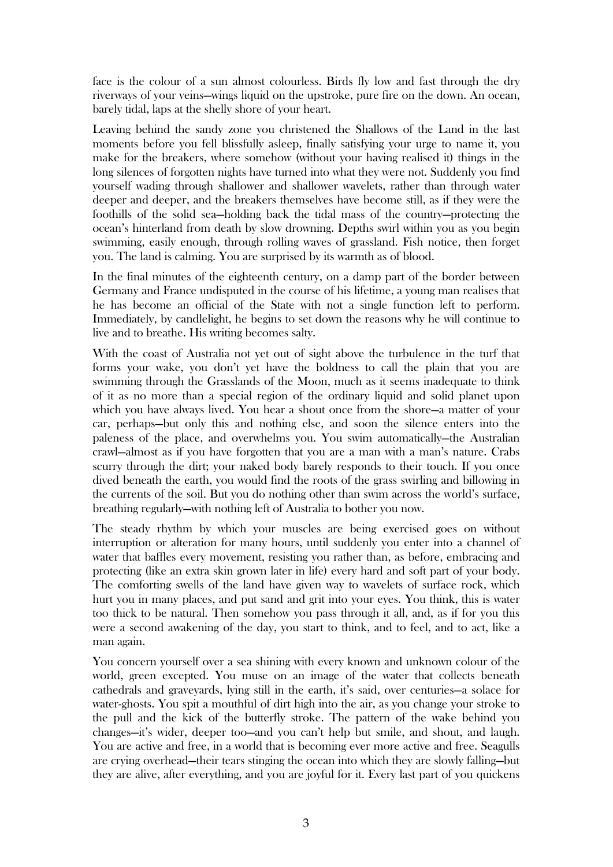face is the colour of a sun almost colourless. Birds fly low and fast through the dry riverways of your veins—wings liquid on the upstroke, pure fire on the down. An ocean, barely tidal, laps at the shelly shore of your heart.

Leaving behind the sandy zone you christened the Shallows of the Land in the last moments before you fell blissfully asleep, finally satisfying your urge to name it, you make for the breakers, where somehow (without your having realised it) things in the long silences of forgotten nights have turned into what they were not. Suddenly you find yourself wading through shallower and shallower wavelets, rather than through water deeper and deeper, and the breakers themselves have become still, as if they were the foothills of the solid sea—holding back the tidal mass of the country—protecting the ocean's hinterland from death by slow drowning. Depths swirl within you as you begin swimming, easily enough, through rolling waves of grassland. Fish notice, then forget you. The land is calming. You are surprised by its warmth as of blood.

In the final minutes of the eighteenth century, on a damp part of the border between Germany and France undisputed in the course of his lifetime, a young man realises that he has become an official of the State with not a single function left to perform. Immediately, by candlelight, he begins to set down the reasons why he will continue to live and to breathe. His writing becomes salty.

With the coast of Australia not yet out of sight above the turbulence in the turf that forms your wake, you don't yet have the boldness to call the plain that you are swimming through the Grasslands of the Moon, much as it seems inadequate to think of it as no more than a special region of the ordinary liquid and solid planet upon which you have always lived. You hear a shout once from the shore—a matter of your car, perhaps—but only this and nothing else, and soon the silence enters into the paleness of the place, and overwhelms you. You swim automatically—the Australian crawl—almost as if you have forgotten that you are a man with a man's nature. Crabs scurry through the dirt; your naked body barely responds to their touch. If you once dived beneath the earth, you would find the roots of the grass swirling and billowing in the currents of the soil. But you do nothing other than swim across the world's surface, breathing regularly—with nothing left of Australia to bother you now.

The steady rhythm by which your muscles are being exercised goes on without interruption or alteration for many hours, until suddenly you enter into a channel of water that baffles every movement, resisting you rather than, as before, embracing and protecting (like an extra skin grown later in life) every hard and soft part of your body. The comforting swells of the land have given way to wavelets of surface rock, which hurt you in many places, and put sand and grit into your eyes. You think, this is water too thick to be natural. Then somehow you pass through it all, and, as if for you this were a second awakening of the day, you start to think, and to feel, and to act, like a man again.

You concern yourself over a sea shining with every known and unknown colour of the world, green excepted. You muse on an image of the water that collects beneath cathedrals and graveyards, lying still in the earth, it's said, over centuries—a solace for water-ghosts. You spit a mouthful of dirt high into the air, as you change your stroke to the pull and the kick of the butterfly stroke. The pattern of the wake behind you changes—it's wider, deeper too—and you can't help but smile, and shout, and laugh. You are active and free, in a world that is becoming ever more active and free. Seagulls are crying overhead—their tears stinging the ocean into which they are slowly falling—but they are alive, after everything, and you are joyful for it. Every last part of you quickens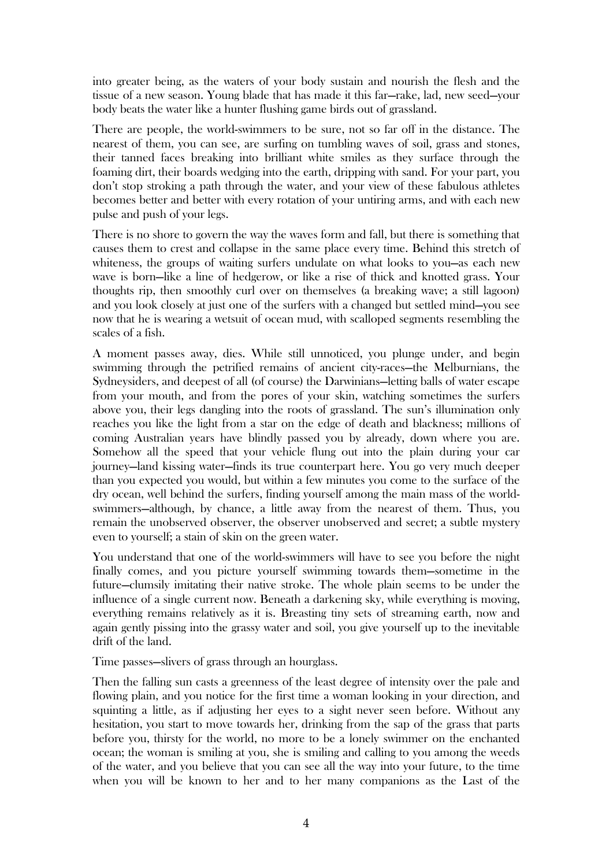into greater being, as the waters of your body sustain and nourish the flesh and the tissue of a new season. Young blade that has made it this far—rake, lad, new seed—your body beats the water like a hunter flushing game birds out of grassland.

There are people, the world-swimmers to be sure, not so far off in the distance. The nearest of them, you can see, are surfing on tumbling waves of soil, grass and stones, their tanned faces breaking into brilliant white smiles as they surface through the foaming dirt, their boards wedging into the earth, dripping with sand. For your part, you don't stop stroking a path through the water, and your view of these fabulous athletes becomes better and better with every rotation of your untiring arms, and with each new pulse and push of your legs.

There is no shore to govern the way the waves form and fall, but there is something that causes them to crest and collapse in the same place every time. Behind this stretch of whiteness, the groups of waiting surfers undulate on what looks to you—as each new wave is born—like a line of hedgerow, or like a rise of thick and knotted grass. Your thoughts rip, then smoothly curl over on themselves (a breaking wave; a still lagoon) and you look closely at just one of the surfers with a changed but settled mind—you see now that he is wearing a wetsuit of ocean mud, with scalloped segments resembling the scales of a fish.

A moment passes away, dies. While still unnoticed, you plunge under, and begin swimming through the petrified remains of ancient city-races—the Melburnians, the Sydneysiders, and deepest of all (of course) the Darwinians—letting balls of water escape from your mouth, and from the pores of your skin, watching sometimes the surfers above you, their legs dangling into the roots of grassland. The sun's illumination only reaches you like the light from a star on the edge of death and blackness; millions of coming Australian years have blindly passed you by already, down where you are. Somehow all the speed that your vehicle flung out into the plain during your car journey—land kissing water—finds its true counterpart here. You go very much deeper than you expected you would, but within a few minutes you come to the surface of the dry ocean, well behind the surfers, finding yourself among the main mass of the worldswimmers—although, by chance, a little away from the nearest of them. Thus, you remain the unobserved observer, the observer unobserved and secret; a subtle mystery even to yourself; a stain of skin on the green water.

You understand that one of the world-swimmers will have to see you before the night finally comes, and you picture yourself swimming towards them—sometime in the future—clumsily imitating their native stroke. The whole plain seems to be under the influence of a single current now. Beneath a darkening sky, while everything is moving, everything remains relatively as it is. Breasting tiny sets of streaming earth, now and again gently pissing into the grassy water and soil, you give yourself up to the inevitable drift of the land.

Time passes—slivers of grass through an hourglass.

Then the falling sun casts a greenness of the least degree of intensity over the pale and flowing plain, and you notice for the first time a woman looking in your direction, and squinting a little, as if adjusting her eyes to a sight never seen before. Without any hesitation, you start to move towards her, drinking from the sap of the grass that parts before you, thirsty for the world, no more to be a lonely swimmer on the enchanted ocean; the woman is smiling at you, she is smiling and calling to you among the weeds of the water, and you believe that you can see all the way into your future, to the time when you will be known to her and to her many companions as the Last of the